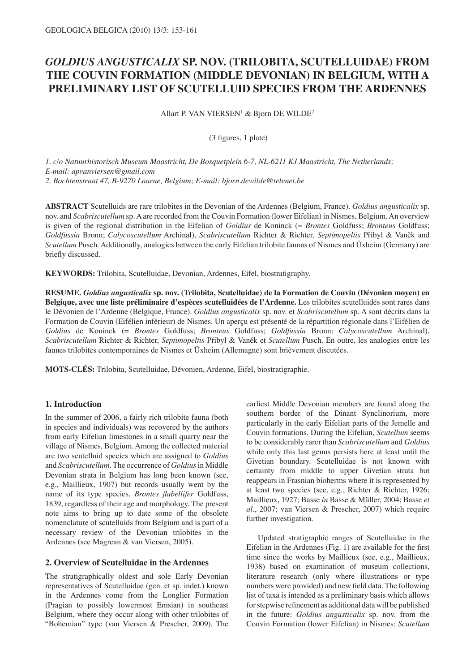# *GOLDIUS ANGUSTICALIX* **SP. NOV. (TRILOBITA, SCUTELLUIDAE) FROM THE COUVIN FORMATION (MIDDLE DEVONIAN) IN BELGIUM, WITH A PRELIMINARY LIST OF SCUTELLUID SPECIES FROM THE ARDENNES**

Allart P. VAN VIERSEN<sup>1</sup> & Bjorn DE WILDE<sup>2</sup>

(3 figures, 1 plate)

*1. c/o Natuurhistorisch Museum Maastricht, De Bosquetplein 6-7, NL-6211 KJ Maastricht, The Netherlands; E-mail: apvanviersen@gmail.com 2. Bochtenstraat 47, B-9270 Laarne, Belgium; E-mail: bjorn.dewilde@telenet.be*

**ABSTRACT** Scutelluids are rare trilobites in the Devonian of the Ardennes (Belgium, France). *Goldius angusticalix* sp. nov. and *Scabriscutellum* sp. A are recorded from the Couvin Formation (lower Eifelian) in Nismes, Belgium. An overview is given of the regional distribution in the Eifelian of *Goldius* de Koninck (= *Brontes* Goldfuss; *Bronteus* Goldfuss; *Goldfussia* Bronn; *Calycoscutellum* Archinal), *Scabriscutellum* Richter & Richter, *Septimopeltis* Přibyl & Vaněk and *Scutellum* Pusch. Additionally, analogies between the early Eifelian trilobite faunas of Nismes and Üxheim (Germany) are briefly discussed.

**KEYWORDS:** Trilobita, Scutelluidae, Devonian, Ardennes, Eifel, biostratigraphy.

**RESUME.** *Goldius angusticalix* **sp. nov. (Trilobita, Scutelluidae) de la Formation de Couvin (Dévonien moyen) en Belgique, avec une liste préliminaire d'espèces scutelluidées de l'Ardenne.** Les trilobites scutelluidés sont rares dans le Dévonien de l'Ardenne (Belgique, France). *Goldius angusticalix* sp. nov. et *Scabriscutellum* sp. A sont décrits dans la Formation de Couvin (Eifélien inférieur) de Nismes. Un aperçu est présenté de la répartition régionale dans l'Eifélien de *Goldius* de Koninck (= *Brontes* Goldfuss; *Bronteus* Goldfuss; *Goldfussia* Bronn; *Calycoscutellum* Archinal), *Scabriscutellum* Richter & Richter, *Septimopeltis* Přibyl & Vaněk et *Scutellum* Pusch. En outre, les analogies entre les faunes trilobites contemporaines de Nismes et Üxheim (Allemagne) sont brièvement discutées.

**MOTS-CLÉS:** Trilobita, Scutelluidae, Dévonien, Ardenne, Eifel, biostratigraphie.

## **1. Introduction**

In the summer of 2006, a fairly rich trilobite fauna (both in species and individuals) was recovered by the authors from early Eifelian limestones in a small quarry near the village of Nismes, Belgium. Among the collected material are two scutelluid species which are assigned to *Goldius* and *Scabriscutellum*. The occurrence of *Goldius* in Middle Devonian strata in Belgium has long been known (see, e.g., Maillieux, 1907) but records usually went by the name of its type species, *Brontes flabellifer* Goldfuss, 1839, regardless of their age and morphology. The present note aims to bring up to date some of the obsolete nomenclature of scutelluids from Belgium and is part of a necessary review of the Devonian trilobites in the Ardennes (see Magrean & van Viersen, 2005).

# **2. Overview of Scutelluidae in the Ardennes**

The stratigraphically oldest and sole Early Devonian representatives of Scutelluidae (gen. et sp. indet.) known in the Ardennes come from the Longlier Formation (Pragian to possibly lowermost Emsian) in southeast Belgium, where they occur along with other trilobites of "Bohemian" type (van Viersen & Prescher, 2009). The earliest Middle Devonian members are found along the southern border of the Dinant Synclinorium, more particularly in the early Eifelian parts of the Jemelle and Couvin formations. During the Eifelian, *Scutellum* seems to be considerably rarer than *Scabriscutellum* and *Goldius* while only this last genus persists here at least until the Givetian boundary. Scutelluidae is not known with certainty from middle to upper Givetian strata but reappears in Frasnian bioherms where it is represented by at least two species (see, e.g., Richter & Richter, 1926; Maillieux, 1927; Basse *in* Basse & Müller, 2004; Basse *et al*., 2007; van Viersen & Prescher, 2007) which require further investigation.

Updated stratigraphic ranges of Scutelluidae in the Eifelian in the Ardennes (Fig. 1) are available for the first time since the works by Maillieux (see, e.g., Maillieux, 1938) based on examination of museum collections, literature research (only where illustrations or type numbers were provided) and new field data. The following list of taxa is intended as a preliminary basis which allows for stepwise refinement as additional data will be published in the future: *Goldius angusticalix* sp. nov. from the Couvin Formation (lower Eifelian) in Nismes; *Scutellum*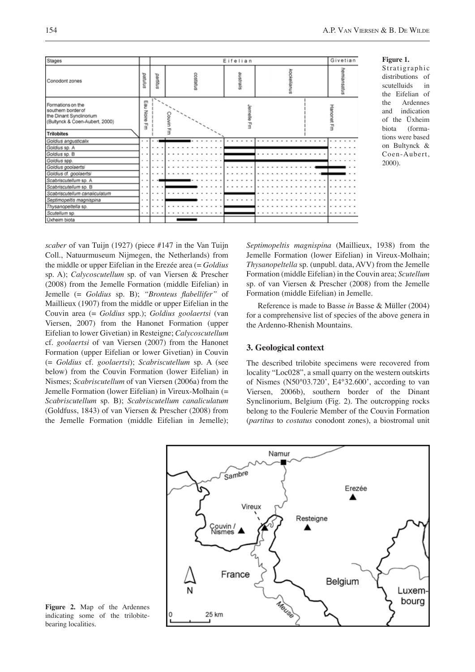

**Figure 1.**

Stratigraphic distributions of scutelluids in the Eifelian of the Ardennes and indication of the Üxheim biota (formations were based on Bultynck & Coen-Aubert, 2000).

*scaber* of van Tuijn (1927) (piece #147 in the Van Tuijn Coll., Natuurmuseum Nijmegen, the Netherlands) from the middle or upper Eifelian in the Erezée area (= *Goldius* sp. A); *Calycoscutellum* sp. of van Viersen & Prescher (2008) from the Jemelle Formation (middle Eifelian) in Jemelle (= *Goldius* sp. B); *"Bronteus flabellifer"* of Maillieux (1907) from the middle or upper Eifelian in the Couvin area (= *Goldius* spp.); *Goldius goolaertsi* (van Viersen, 2007) from the Hanonet Formation (upper Eifelian to lower Givetian) in Resteigne; *Calycoscutellum* cf. *goolaertsi* of van Viersen (2007) from the Hanonet Formation (upper Eifelian or lower Givetian) in Couvin (= *Goldius* cf. *goolaertsi*); *Scabriscutellum* sp. A (see below) from the Couvin Formation (lower Eifelian) in Nismes; *Scabriscutellum* of van Viersen (2006a) from the Jemelle Formation (lower Eifelian) in Vireux-Molhain (= *Scabriscutellum* sp. B); *Scabriscutellum canaliculatum*  (Goldfuss, 1843) of van Viersen & Prescher (2008) from the Jemelle Formation (middle Eifelian in Jemelle);

*Septimopeltis magnispina* (Maillieux, 1938) from the Jemelle Formation (lower Eifelian) in Vireux-Molhain; *Thysanopeltella* sp. (unpubl. data, AVV) from the Jemelle Formation (middle Eifelian) in the Couvin area; *Scutellum* sp. of van Viersen & Prescher (2008) from the Jemelle Formation (middle Eifelian) in Jemelle.

Reference is made to Basse *in* Basse & Müller (2004) for a comprehensive list of species of the above genera in the Ardenno-Rhenish Mountains.

## **3. Geological context**

The described trilobite specimens were recovered from locality "Loc028", a small quarry on the western outskirts of Nismes (N50°03.720', E4°32.600', according to van Viersen, 2006b), southern border of the Dinant Synclinorium, Belgium (Fig. 2). The outcropping rocks belong to the Foulerie Member of the Couvin Formation (*partitus* to *costatus* conodont zones), a biostromal unit



**Figure 2.** Map of the Ardennes indicating some of the trilobitebearing localities.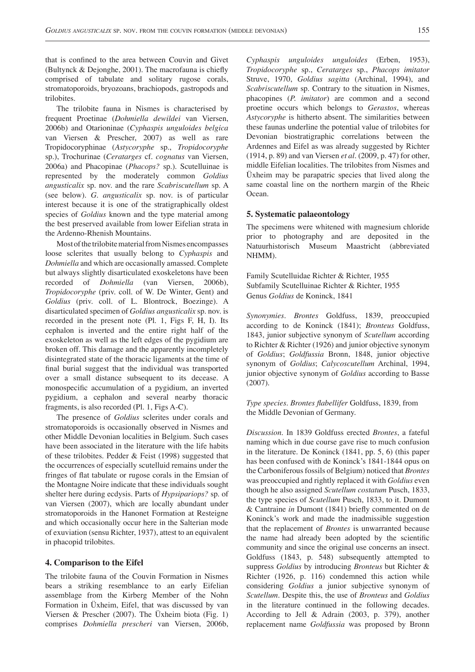that is confined to the area between Couvin and Givet (Bultynck & Dejonghe, 2001). The macrofauna is chiefly comprised of tabulate and solitary rugose corals, stromatoporoids, bryozoans, brachiopods, gastropods and trilobites.

The trilobite fauna in Nismes is characterised by frequent Proetinae (*Dohmiella dewildei* van Viersen, 2006b) and Otarioninae (*Cyphaspis unguloides belgica* van Viersen & Prescher, 2007) as well as rare Tropidocoryphinae (*Astycoryphe* sp., *Tropidocoryphe*  sp.), Trochurinae (*Ceratarges* cf. *cognatus* van Viersen, 2006a) and Phacopinae (*Phacops?* sp.). Scutelluinae is represented by the moderately common *Goldius angusticalix* sp. nov. and the rare *Scabriscutellum* sp. A (see below). *G. angusticalix* sp. nov. is of particular interest because it is one of the stratigraphically oldest species of *Goldius* known and the type material among the best preserved available from lower Eifelian strata in the Ardenno-Rhenish Mountains.

Most of the trilobite material from Nismes encompasses loose sclerites that usually belong to *Cyphaspis* and *Dohmiella* and which are occasionally amassed. Complete but always slightly disarticulated exoskeletons have been recorded of *Dohmiella* (van Viersen, 2006b), *Tropidocoryphe* (priv. coll. of W. De Winter, Gent) and *Goldius* (priv. coll. of L. Blontrock, Boezinge). A disarticulated specimen of *Goldius angusticalix* sp. nov. is recorded in the present note (Pl. 1, Figs F, H, I). Its cephalon is inverted and the entire right half of the exoskeleton as well as the left edges of the pygidium are broken off. This damage and the apparently incompletely disintegrated state of the thoracic ligaments at the time of final burial suggest that the individual was transported over a small distance subsequent to its decease. A monospecific accumulation of a pygidium, an inverted pygidium, a cephalon and several nearby thoracic fragments, is also recorded (Pl. 1, Figs A-C).

The presence of *Goldius* sclerites under corals and stromatoporoids is occasionally observed in Nismes and other Middle Devonian localities in Belgium. Such cases have been associated in the literature with the life habits of these trilobites. Pedder & Feist (1998) suggested that the occurrences of especially scutelluid remains under the fringes of flat tabulate or rugose corals in the Emsian of the Montagne Noire indicate that these individuals sought shelter here during ecdysis. Parts of *Hypsipariops?* sp. of van Viersen (2007), which are locally abundant under stromatoporoids in the Hanonet Formation at Resteigne and which occasionally occur here in the Salterian mode of exuviation (sensu Richter, 1937), attest to an equivalent in phacopid trilobites.

#### **4. Comparison to the Eifel**

The trilobite fauna of the Couvin Formation in Nismes bears a striking resemblance to an early Eifelian assemblage from the Kirberg Member of the Nohn Formation in Üxheim, Eifel, that was discussed by van Viersen & Prescher (2007). The Üxheim biota (Fig. 1) comprises *Dohmiella prescheri* van Viersen, 2006b,

*Cyphaspis unguloides unguloides* (Erben, 1953), *Tropidocoryphe* sp., *Ceratarges* sp., *Phacops imitator* Struve, 1970, *Goldius sagitta* (Archinal, 1994), and *Scabriscutellum* sp. Contrary to the situation in Nismes, phacopines (*P. imitator*) are common and a second proetine occurs which belongs to *Gerastos*, whereas *Astycoryphe* is hitherto absent. The similarities between these faunas underline the potential value of trilobites for Devonian biostratigraphic correlations between the Ardennes and Eifel as was already suggested by Richter (1914, p. 89) and van Viersen *et al*. (2009, p. 47) for other, middle Eifelian localities. The trilobites from Nismes and Üxheim may be parapatric species that lived along the same coastal line on the northern margin of the Rheic Ocean.

#### **5. Systematic palaeontology**

The specimens were whitened with magnesium chloride prior to photography and are deposited in the Natuurhistorisch Museum Maastricht (abbreviated NHMM).

Family Scutelluidae Richter & Richter, 1955 Subfamily Scutelluinae Richter & Richter, 1955 Genus *Goldius* de Koninck, 1841

*Synonymies*. *Brontes* Goldfuss, 1839, preoccupied according to de Koninck (1841); *Bronteus* Goldfuss, 1843, junior subjective synonym of *Scutellum* according to Richter & Richter (1926) and junior objective synonym of *Goldius*; *Goldfussia* Bronn, 1848, junior objective synonym of *Goldius*; *Calycoscutellum* Archinal, 1994, junior objective synonym of *Goldius* according to Basse (2007).

*Type species*. *Brontes flabellifer* Goldfuss, 1839, from the Middle Devonian of Germany.

*Discussion*. In 1839 Goldfuss erected *Brontes*, a fateful naming which in due course gave rise to much confusion in the literature. De Koninck (1841, pp. 5, 6) (this paper has been confused with de Koninck's 1841-1844 opus on the Carboniferous fossils of Belgium) noticed that *Brontes* was preoccupied and rightly replaced it with *Goldius* even though he also assigned *Scutellum costatum* Pusch, 1833, the type species of *Scutellum* Pusch, 1833, to it. Dumont & Cantraine *in* Dumont (1841) briefly commented on de Koninck's work and made the inadmissible suggestion that the replacement of *Brontes* is unwarranted because the name had already been adopted by the scientific community and since the original use concerns an insect. Goldfuss (1843, p. 548) subsequently attempted to suppress *Goldius* by introducing *Bronteus* but Richter & Richter (1926, p. 116) condemned this action while considering *Goldius* a junior subjective synonym of *Scutellum*. Despite this, the use of *Bronteus* and *Goldius* in the literature continued in the following decades. According to Jell & Adrain (2003, p. 379), another replacement name *Goldfussia* was proposed by Bronn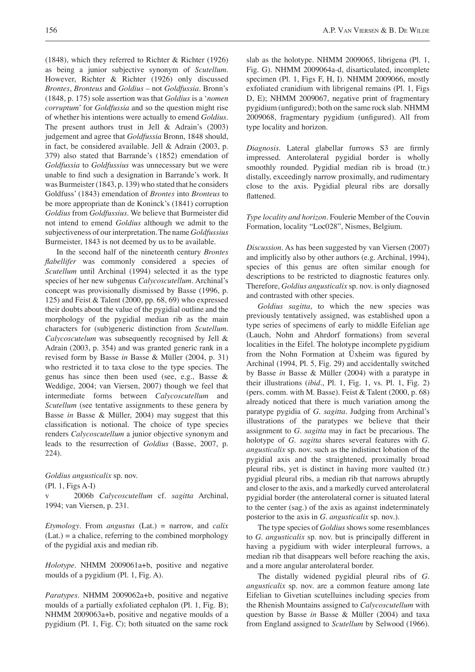(1848), which they referred to Richter  $\&$  Richter (1926) as being a junior subjective synonym of *Scutellum*. However, Richter & Richter (1926) only discussed *Brontes*, *Bronteus* and *Goldius* – not *Goldfussia*. Bronn's (1848, p. 175) sole assertion was that *Goldius* is a '*nomen corruptum*' for *Goldfussia* and so the question might rise of whether his intentions were actually to emend *Goldius*. The present authors trust in Jell & Adrain's (2003) judgement and agree that *Goldfussia* Bronn, 1848 should, in fact, be considered available. Jell & Adrain (2003, p. 379) also stated that Barrande's (1852) emendation of *Goldfussia* to *Goldfussius* was unnecessary but we were unable to find such a designation in Barrande's work. It was Burmeister (1843, p. 139) who stated that he considers Goldfuss' (1843) emendation of *Brontes* into *Bronteus* to be more appropriate than de Koninck's (1841) corruption *Goldius* from *Goldfussius*. We believe that Burmeister did not intend to emend *Goldius* although we admit to the subjectiveness of our interpretation. The name *Goldfussius* Burmeister, 1843 is not deemed by us to be available.

In the second half of the nineteenth century *Brontes flabellifer* was commonly considered a species of *Scutellum* until Archinal (1994) selected it as the type species of her new subgenus *Calycoscutellum*. Archinal's concept was provisionally dismissed by Basse (1996, p. 125) and Feist & Talent (2000, pp. 68, 69) who expressed their doubts about the value of the pygidial outline and the morphology of the pygidial median rib as the main characters for (sub)generic distinction from *Scutellum*. *Calycoscutelum* was subsequently recognised by Jell & Adrain (2003, p. 354) and was granted generic rank in a revised form by Basse *in* Basse & Müller (2004, p. 31) who restricted it to taxa close to the type species. The genus has since then been used (see, e.g., Basse & Weddige, 2004; van Viersen, 2007) though we feel that intermediate forms between *Calycoscutellum* and *Scutellum* (see tentative assignments to these genera by Basse *in* Basse & Müller, 2004) may suggest that this classification is notional. The choice of type species renders *Calycoscutellum* a junior objective synonym and leads to the resurrection of *Goldius* (Basse, 2007, p. 224).

*Goldius angusticalix* sp. nov.

(Pl. 1, Figs A-I)

2006b *Calycoscutellum* cf. *sagitta* Archinal, 1994; van Viersen, p. 231.

*Etymology*. From *angustus* (Lat.) = narrow, and *calix* (Lat.) = a chalice, referring to the combined morphology of the pygidial axis and median rib.

*Holotype*. NHMM 2009061a+b, positive and negative moulds of a pygidium (Pl. 1, Fig. A).

*Paratypes*. NHMM 2009062a+b, positive and negative moulds of a partially exfoliated cephalon (Pl. 1, Fig. B); NHMM 2009063a+b, positive and negative moulds of a pygidium (Pl. 1, Fig. C); both situated on the same rock

slab as the holotype. NHMM 2009065, librigena (Pl. 1, Fig. G). NHMM 2009064a-d, disarticulated, incomplete specimen (Pl. 1, Figs F, H, I). NHMM 2009066, mostly exfoliated cranidium with librigenal remains (Pl. 1, Figs D, E); NHMM 2009067, negative print of fragmentary pygidium (unfigured); both on the same rock slab. NHMM 2009068, fragmentary pygidium (unfigured). All from type locality and horizon.

*Diagnosis*. Lateral glabellar furrows S3 are firmly impressed. Anterolateral pygidial border is wholly smoothly rounded. Pygidial median rib is broad (tr.) distally, exceedingly narrow proximally, and rudimentary close to the axis. Pygidial pleural ribs are dorsally flattened.

*Type locality and horizon*. Foulerie Member of the Couvin Formation, locality "Loc028", Nismes, Belgium.

*Discussion*. As has been suggested by van Viersen (2007) and implicitly also by other authors (e.g. Archinal, 1994), species of this genus are often similar enough for descriptions to be restricted to diagnostic features only. Therefore, *Goldius angusticalix* sp. nov. is only diagnosed and contrasted with other species.

*Goldius sagitta*, to which the new species was previously tentatively assigned, was established upon a type series of specimens of early to middle Eifelian age (Lauch, Nohn and Ahrdorf formations) from several localities in the Eifel. The holotype incomplete pygidium from the Nohn Formation at Üxheim was figured by Archinal (1994, Pl. 5, Fig. 29) and accidentally switched by Basse *in* Basse & Müller (2004) with a paratype in their illustrations (*ibid.*, Pl. 1, Fig. 1, vs. Pl. 1, Fig. 2) (pers. comm. with M. Basse). Feist & Talent (2000, p. 68) already noticed that there is much variation among the paratype pygidia of *G. sagitta*. Judging from Archinal's illustrations of the paratypes we believe that their assignment to *G. sagitta* may in fact be precarious. The holotype of *G. sagitta* shares several features with *G. angusticalix* sp. nov. such as the indistinct lobation of the pygidial axis and the straightened, proximally broad pleural ribs, yet is distinct in having more vaulted (tr.) pygidial pleural ribs, a median rib that narrows abruptly and closer to the axis, and a markedly curved anterolateral pygidial border (the anterolateral corner is situated lateral to the center (sag.) of the axis as against indeterminately posterior to the axis in *G. angusticalix* sp. nov.).

The type species of *Goldius* shows some resemblances to *G. angusticalix* sp. nov. but is principally different in having a pygidium with wider interpleural furrows, a median rib that disappears well before reaching the axis, and a more angular anterolateral border.

The distally widened pygidial pleural ribs of *G. angusticalix* sp. nov. are a common feature among late Eifelian to Givetian scutelluines including species from the Rhenish Mountains assigned to *Calycoscutellum* with question by Basse *in* Basse & Müller (2004) and taxa from England assigned to *Scutellum* by Selwood (1966).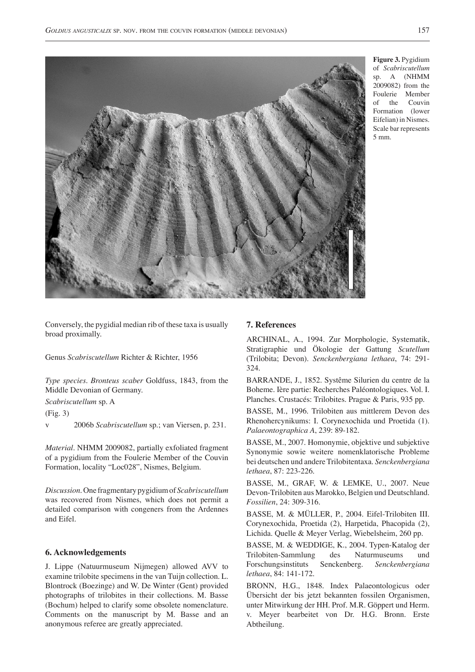

**Figure 3.** Pygidium of *Scabriscutellum*  A (NHMM 2009082) from the Foulerie Member of the Couvin Formation (lower Eifelian) in Nismes. Scale bar represents 5 mm.

Conversely, the pygidial median rib of these taxa is usually broad proximally.

Genus *Scabriscutellum* Richter & Richter, 1956

*Type species*. *Bronteus scaber* Goldfuss, 1843, from the Middle Devonian of Germany.

*Scabriscutellum* sp. A

(Fig. 3)

v 2006b *Scabriscutellum* sp.; van Viersen, p. 231.

*Material*. NHMM 2009082, partially exfoliated fragment of a pygidium from the Foulerie Member of the Couvin Formation, locality "Loc028", Nismes, Belgium.

*Discussion*. One fragmentary pygidium of *Scabriscutellum* was recovered from Nismes, which does not permit a detailed comparison with congeners from the Ardennes and Eifel.

#### **6. Acknowledgements**

J. Lippe (Natuurmuseum Nijmegen) allowed AVV to examine trilobite specimens in the van Tuijn collection. L. Blontrock (Boezinge) and W. De Winter (Gent) provided photographs of trilobites in their collections. M. Basse (Bochum) helped to clarify some obsolete nomenclature. Comments on the manuscript by M. Basse and an anonymous referee are greatly appreciated.

#### **7. References**

ARCHINAL, A., 1994. Zur Morphologie, Systematik, Stratigraphie und Ökologie der Gattung *Scutellum* (Trilobita; Devon). *Senckenbergiana lethaea*, 74: 291- 324.

BARRANDE, J., 1852. Systême Silurien du centre de la Boheme. Ière partie: Recherches Paléontologiques. Vol. I. Planches. Crustacés: Trilobites. Prague & Paris, 935 pp.

BASSE, M., 1996. Trilobiten aus mittlerem Devon des Rhenohercynikums: I. Corynexochida und Proetida (1). *Palaeontographica A*, 239: 89-182.

BASSE, M., 2007. Homonymie, objektive und subjektive Synonymie sowie weitere nomenklatorische Probleme bei deutschen und andere Trilobitentaxa. *Senckenbergiana lethaea*, 87: 223-226.

BASSE, M., GRAF, W. & LEMKE, U., 2007. Neue Devon-Trilobiten aus Marokko, Belgien und Deutschland. *Fossilien*, 24: 309-316.

BASSE, M. & MÜLLER, P., 2004. Eifel-Trilobiten III. Corynexochida, Proetida (2), Harpetida, Phacopida (2), Lichida. Quelle & Meyer Verlag, Wiebelsheim, 260 pp.

BASSE, M. & WEDDIGE, K., 2004. Typen-Katalog der Trilobiten-Sammlung des Naturmuseums und Forschungsinstituts Senckenberg. *Senckenbergiana lethaea*, 84: 141-172.

BRONN, H.G., 1848. Index Palaeontologicus oder Übersicht der bis jetzt bekannten fossilen Organismen, unter Mitwirkung der HH. Prof. M.R. Göppert und Herm. v. Meyer bearbeitet von Dr. H.G. Bronn. Erste Abtheilung.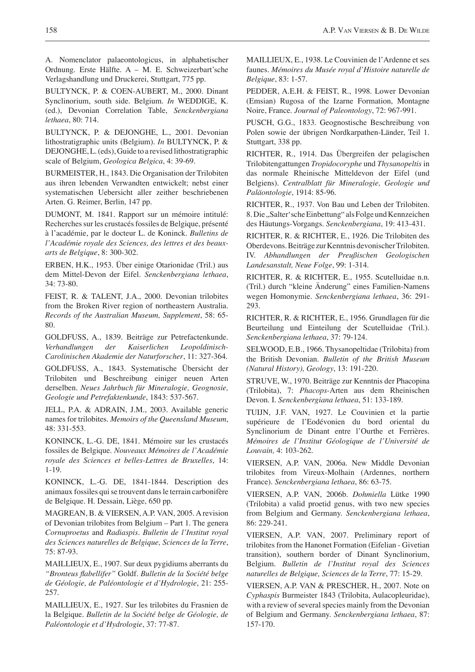A. Nomenclator palaeontologicus, in alphabetischer Ordnung. Erste Hälfte. A – M. E. Schweizerbart'sche Verlagshandlung und Druckerei, Stuttgart, 775 pp.

BULTYNCK, P. & COEN-AUBERT, M., 2000. Dinant Synclinorium, south side. Belgium. *In* WEDDIGE, K. (ed.), Devonian Correlation Table, *Senckenbergiana lethaea*, 80: 714.

BULTYNCK, P. & DEJONGHE, L., 2001. Devonian lithostratigraphic units (Belgium). *In* BULTYNCK, P. & DEJONGHE, L. (eds), Guide to a revised lithostratigraphic scale of Belgium, *Geologica Belgica*, 4: 39-69.

BURMEISTER, H., 1843. Die Organisation der Trilobiten aus ihren lebenden Verwandten entwickelt; nebst einer systematischen Uebersicht aller zeither beschriebenen Arten. G. Reimer, Berlin, 147 pp.

DUMONT, M. 1841. Rapport sur un mémoire intitulé: Recherches sur les crustacés fossiles de Belgique, présenté à l'académie, par le docteur L. de Koninck. *Bulletins de l'Académie royale des Sciences, des lettres et des beauxarts de Belgique*, 8: 300-302.

ERBEN, H.K., 1953. Über einige Otarionidae (Tril.) aus dem Mittel-Devon der Eifel. *Senckenbergiana lethaea*, 34: 73-80.

FEIST, R. & TALENT, J.A., 2000. Devonian trilobites from the Broken River region of northeastern Australia. *Records of the Australian Museum, Supplement*, 58: 65- 80.

GOLDFUSS, A., 1839. Beiträge zur Petrefactenkunde. *Verhandlungen der Kaiserlichen Leopoldinisch-Carolinischen Akademie der Naturforscher*, 11: 327-364.

GOLDFUSS, A., 1843. Systematische Übersicht der Trilobiten und Beschreibung einiger neuen Arten derselben. *Neues Jahrbuch für Mineralogie, Geognosie, Geologie und Petrefaktenkunde*, 1843: 537-567.

JELL, P.A. & ADRAIN, J.M., 2003. Available generic names for trilobites. *Memoirs of the Queensland Museum*, 48: 331-553.

KONINCK, L.-G. DE, 1841. Mémoire sur les crustacés fossiles de Belgique. *Nouveaux Mémoires de l'Académie royale des Sciences et belles-Lettres de Bruxelles*, 14: 1-19.

KONINCK, L.-G. DE, 1841-1844. Description des animaux fossiles qui se trouvent dans le terrain carbonifère de Belgique. H. Dessain, Liège, 650 pp.

MAGREAN, B. & VIERSEN, A.P. VAN, 2005. A revision of Devonian trilobites from Belgium – Part 1. The genera *Cornuproetus* and *Radiaspis*. *Bulletin de l'Institut royal des Sciences naturelles de Belgique, Sciences de la Terre*, 75: 87-93.

MAILLIEUX, E., 1907. Sur deux pygidiums aberrants du *"Bronteus flabellifer"* Goldf. *Bulletin de la Société belge de Géologie, de Paléontologie et d'Hydrologie*, 21: 255- 257.

MAILLIEUX, E., 1927. Sur les trilobites du Frasnien de la Belgique. *Bulletin de la Société belge de Géologie, de Paléontologie et d'Hydrologie*, 37: 77-87.

MAILLIEUX, E., 1938. Le Couvinien de l'Ardenne et ses faunes. *Mémoires du Musée royal d'Histoire naturelle de Belgique*, 83: 1-57.

PEDDER, A.E.H. & FEIST, R., 1998. Lower Devonian (Emsian) Rugosa of the Izarne Formation, Montagne Noire, France. *Journal of Paleontology*, 72: 967-991.

PUSCH, G.G., 1833. Geognostische Beschreibung von Polen sowie der übrigen Nordkarpathen-Länder, Teil 1. Stuttgart, 338 pp.

RICHTER, R., 1914. Das Übergreifen der pelagischen Trilobitengattungen *Tropidocoryphe* und *Thysanopeltis* in das normale Rheinische Mitteldevon der Eifel (und Belgiens). *Centralblatt für Mineralogie, Geologie und Paläontologie*, 1914: 85-96.

RICHTER, R., 1937. Von Bau und Leben der Trilobiten. 8. Die "Salter'sche Einbettung" als Folge und Kennzeichen des Häutungs-Vorgangs. *Senckenbergiana*, 19: 413-431.

RICHTER, R. & RICHTER, E., 1926. Die Trilobiten des Oberdevons. Beiträge zur Kenntnis devonischer Trilobiten. IV. *Abhandlungen der Preußischen Geologischen Landesanstalt, Neue Folge*, 99: 1-314.

RICHTER, R. & RICHTER, E., 1955. Scutelluidae n.n. (Tril.) durch "kleine Änderung" eines Familien-Namens wegen Homonymie. *Senckenbergiana lethaea*, 36: 291- 293.

RICHTER, R. & RICHTER, E., 1956. Grundlagen für die Beurteilung und Einteilung der Scutelluidae (Tril.). *Senckenbergiana lethaea*, 37: 79-124.

SELWOOD, E.B., 1966. Thysanopeltidae (Trilobita) from the British Devonian. *Bulletin of the British Museum (Natural History), Geology*, 13: 191-220.

STRUVE, W., 1970. Beiträge zur Kenntnis der Phacopina (Trilobita), 7: *Phacops*-Arten aus dem Rheinischen Devon. I. *Senckenbergiana lethaea*, 51: 133-189.

TUIJN, J.F. VAN, 1927. Le Couvinien et la partie supérieure de l'Eodévonien du bord oriental du Synclinorium de Dinant entre l'Ourthe et Ferrières. *Mémoires de l'Institut Géologique de l'Université de Louvain,* 4: 103-262.

VIERSEN, A.P. VAN, 2006a. New Middle Devonian trilobites from Vireux-Molhain (Ardennes, northern France). *Senckenbergiana lethaea*, 86: 63-75.

VIERSEN, A.P. VAN, 2006b. *Dohmiella* Lütke 1990 (Trilobita) a valid proetid genus, with two new species from Belgium and Germany. *Senckenbergiana lethaea*, 86: 229-241.

VIERSEN, A.P. VAN, 2007. Preliminary report of trilobites from the Hanonet Formation (Eifelian - Givetian transition), southern border of Dinant Synclinorium, Belgium. *Bulletin de l'Institut royal des Sciences naturelles de Belgique, Sciences de la Terre*, 77: 15-29.

VIERSEN, A.P. VAN & PRESCHER, H., 2007. Note on *Cyphaspis* Burmeister 1843 (Trilobita, Aulacopleuridae), with a review of several species mainly from the Devonian of Belgium and Germany. *Senckenbergiana lethaea*, 87: 157-170.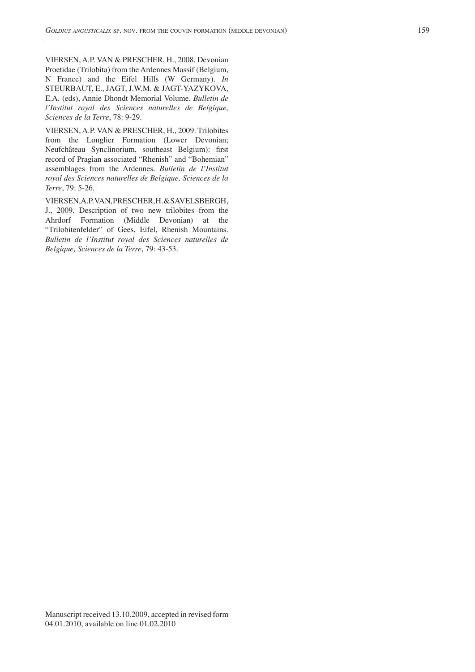VIERSEN, A.P. VAN & PRESCHER, H., 2008. Devonian Proetidae (Trilobita) from the Ardennes Massif (Belgium, N France) and the Eifel Hills (W Germany). *In* STEURBAUT, E., JAGT, J.W.M. & JAGT-YAZYKOVA, E.A. (eds), Annie Dhondt Memorial Volume. *Bulletin de l'Institut royal des Sciences naturelles de Belgique, Sciences de la Terre*, 78: 9-29.

VIERSEN, A.P. VAN & PRESCHER, H., 2009. Trilobites from the Longlier Formation (Lower Devonian; Neufchâteau Synclinorium, southeast Belgium): first record of Pragian associated "Rhenish" and "Bohemian" assemblages from the Ardennes. *Bulletin de l'Institut royal des Sciences naturelles de Belgique, Sciences de la Terre*, 79: 5-26.

VIERSEN, A.P. VAN, PRESCHER, H. & SAVELSBERGH, J., 2009. Description of two new trilobites from the Ahrdorf Formation (Middle Devonian) at the "Trilobitenfelder" of Gees, Eifel, Rhenish Mountains. *Bulletin de l'Institut royal des Sciences naturelles de Belgique, Sciences de la Terre*, 79: 43-53.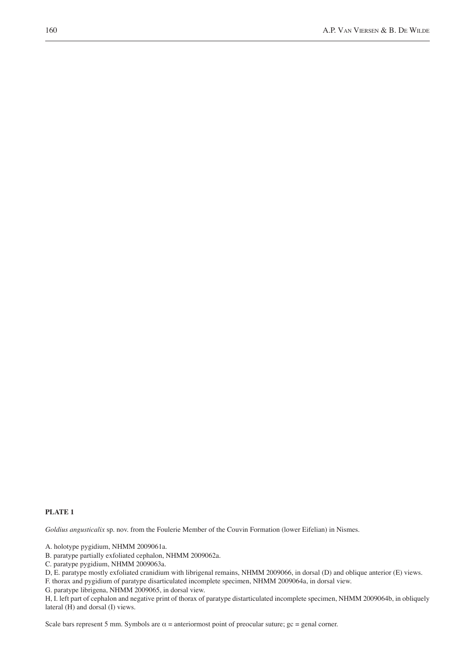#### **PLATE 1**

*Goldius angusticalix* sp. nov. from the Foulerie Member of the Couvin Formation (lower Eifelian) in Nismes.

A. holotype pygidium, NHMM 2009061a.

B. paratype partially exfoliated cephalon, NHMM 2009062a.

C. paratype pygidium, NHMM 2009063a.

D, E. paratype mostly exfoliated cranidium with librigenal remains, NHMM 2009066, in dorsal (D) and oblique anterior (E) views.

F. thorax and pygidium of paratype disarticulated incomplete specimen, NHMM 2009064a, in dorsal view.

G. paratype librigena, NHMM 2009065, in dorsal view.

H, I. left part of cephalon and negative print of thorax of paratype distarticulated incomplete specimen, NHMM 2009064b, in obliquely lateral (H) and dorsal (I) views.

Scale bars represent 5 mm. Symbols are  $\alpha$  = anteriormost point of preocular suture;  $\alpha$  = genal corner.